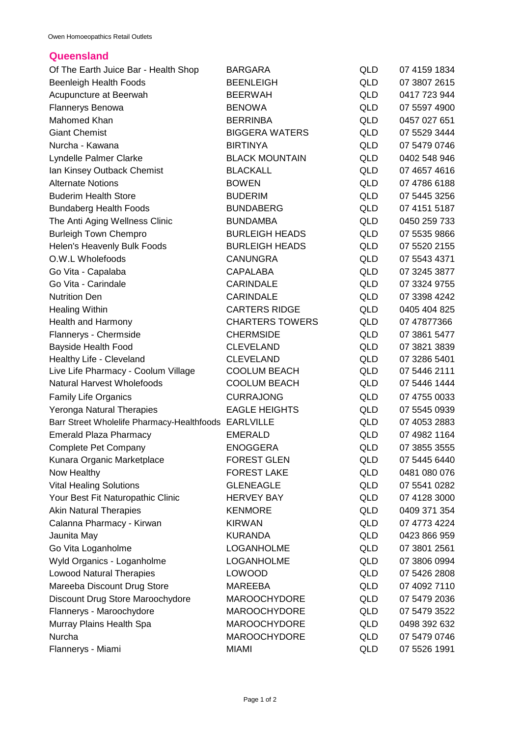## **Queensland**

| Of The Earth Juice Bar - Health Shop                 | <b>BARGARA</b>         | <b>QLD</b> | 07 4159 1834 |
|------------------------------------------------------|------------------------|------------|--------------|
| <b>Beenleigh Health Foods</b>                        | <b>BEENLEIGH</b>       | <b>QLD</b> | 07 3807 2615 |
| Acupuncture at Beerwah                               | <b>BEERWAH</b>         | <b>QLD</b> | 0417 723 944 |
| <b>Flannerys Benowa</b>                              | <b>BENOWA</b>          | QLD        | 07 5597 4900 |
| Mahomed Khan                                         | <b>BERRINBA</b>        | <b>QLD</b> | 0457 027 651 |
| <b>Giant Chemist</b>                                 | <b>BIGGERA WATERS</b>  | QLD        | 07 5529 3444 |
| Nurcha - Kawana                                      | <b>BIRTINYA</b>        | <b>QLD</b> | 07 5479 0746 |
| Lyndelle Palmer Clarke                               | <b>BLACK MOUNTAIN</b>  | <b>QLD</b> | 0402 548 946 |
| Ian Kinsey Outback Chemist                           | <b>BLACKALL</b>        | QLD        | 07 4657 4616 |
| <b>Alternate Notions</b>                             | <b>BOWEN</b>           | <b>QLD</b> | 07 4786 6188 |
| <b>Buderim Health Store</b>                          | <b>BUDERIM</b>         | <b>QLD</b> | 07 5445 3256 |
| <b>Bundaberg Health Foods</b>                        | <b>BUNDABERG</b>       | QLD        | 07 4151 5187 |
| The Anti Aging Wellness Clinic                       | <b>BUNDAMBA</b>        | QLD        | 0450 259 733 |
| <b>Burleigh Town Chempro</b>                         | <b>BURLEIGH HEADS</b>  | QLD        | 07 5535 9866 |
| Helen's Heavenly Bulk Foods                          | <b>BURLEIGH HEADS</b>  | <b>QLD</b> | 07 5520 2155 |
| O.W.L Wholefoods                                     | <b>CANUNGRA</b>        | QLD        | 07 5543 4371 |
| Go Vita - Capalaba                                   | <b>CAPALABA</b>        | QLD        | 07 3245 3877 |
| Go Vita - Carindale                                  | <b>CARINDALE</b>       | <b>QLD</b> | 07 3324 9755 |
| <b>Nutrition Den</b>                                 | <b>CARINDALE</b>       | QLD        | 07 3398 4242 |
| <b>Healing Within</b>                                | <b>CARTERS RIDGE</b>   | QLD        | 0405 404 825 |
| Health and Harmony                                   | <b>CHARTERS TOWERS</b> | QLD        | 07 47877366  |
| Flannerys - Chermside                                | <b>CHERMSIDE</b>       | <b>QLD</b> | 07 3861 5477 |
| <b>Bayside Health Food</b>                           | <b>CLEVELAND</b>       | QLD        | 07 3821 3839 |
| Healthy Life - Cleveland                             | <b>CLEVELAND</b>       | QLD        | 07 3286 5401 |
| Live Life Pharmacy - Coolum Village                  | <b>COOLUM BEACH</b>    | QLD        | 07 5446 2111 |
| <b>Natural Harvest Wholefoods</b>                    | <b>COOLUM BEACH</b>    | QLD        | 07 5446 1444 |
| <b>Family Life Organics</b>                          | <b>CURRAJONG</b>       | QLD        | 07 4755 0033 |
| Yeronga Natural Therapies                            | <b>EAGLE HEIGHTS</b>   | QLD        | 07 5545 0939 |
| Barr Street Wholelife Pharmacy-Healthfoods EARLVILLE |                        | QLD        | 07 4053 2883 |
| <b>Emerald Plaza Pharmacy</b>                        | <b>EMERALD</b>         | QLD        | 07 4982 1164 |
| Complete Pet Company                                 | <b>ENOGGERA</b>        | QLD        | 07 3855 3555 |
| Kunara Organic Marketplace                           | <b>FOREST GLEN</b>     | QLD        | 07 5445 6440 |
| Now Healthy                                          | <b>FOREST LAKE</b>     | QLD        | 0481 080 076 |
| <b>Vital Healing Solutions</b>                       | <b>GLENEAGLE</b>       | QLD        | 07 5541 0282 |
| Your Best Fit Naturopathic Clinic                    | <b>HERVEY BAY</b>      | QLD        | 07 4128 3000 |
| <b>Akin Natural Therapies</b>                        | <b>KENMORE</b>         | QLD        | 0409 371 354 |
| Calanna Pharmacy - Kirwan                            | <b>KIRWAN</b>          | QLD        | 07 4773 4224 |
| Jaunita May                                          | <b>KURANDA</b>         | QLD        | 0423 866 959 |
| Go Vita Loganholme                                   | <b>LOGANHOLME</b>      | QLD        | 07 3801 2561 |
| Wyld Organics - Loganholme                           | LOGANHOLME             | QLD        | 07 3806 0994 |
| <b>Lowood Natural Therapies</b>                      | <b>LOWOOD</b>          | QLD        | 07 5426 2808 |
| Mareeba Discount Drug Store                          | <b>MAREEBA</b>         | QLD        | 07 4092 7110 |
| Discount Drug Store Maroochydore                     | <b>MAROOCHYDORE</b>    | QLD        | 07 5479 2036 |
| Flannerys - Maroochydore                             | <b>MAROOCHYDORE</b>    | QLD        | 07 5479 3522 |
| Murray Plains Health Spa                             | <b>MAROOCHYDORE</b>    | QLD        | 0498 392 632 |
| Nurcha                                               | <b>MAROOCHYDORE</b>    | QLD        | 07 5479 0746 |
| Flannerys - Miami                                    | <b>MIAMI</b>           | <b>QLD</b> | 07 5526 1991 |